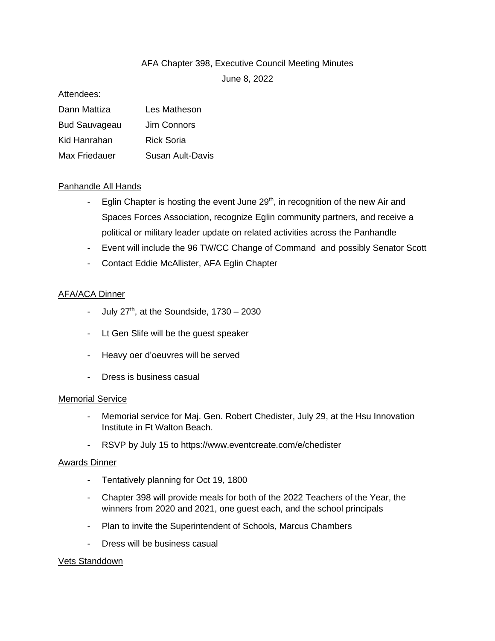# AFA Chapter 398, Executive Council Meeting Minutes

June 8, 2022

### Attendees:

| Dann Mattiza         | Les Matheson      |
|----------------------|-------------------|
| <b>Bud Sauvageau</b> | Jim Connors       |
| Kid Hanrahan         | <b>Rick Soria</b> |
| <b>Max Friedauer</b> | Susan Ault-Davis  |

#### Panhandle All Hands

- Eglin Chapter is hosting the event June  $29<sup>th</sup>$ , in recognition of the new Air and Spaces Forces Association, recognize Eglin community partners, and receive a political or military leader update on related activities across the Panhandle
- Event will include the 96 TW/CC Change of Command and possibly Senator Scott
- Contact Eddie McAllister, AFA Eglin Chapter

## AFA/ACA Dinner

- July  $27<sup>th</sup>$ , at the Soundside,  $1730 2030$
- Lt Gen Slife will be the guest speaker
- Heavy oer d'oeuvres will be served
- Dress is business casual

#### Memorial Service

- Memorial service for Maj. Gen. Robert Chedister, July 29, at the Hsu Innovation Institute in Ft Walton Beach.
- RSVP by July 15 to https://www.eventcreate.com/e/chedister

#### Awards Dinner

- Tentatively planning for Oct 19, 1800
- Chapter 398 will provide meals for both of the 2022 Teachers of the Year, the winners from 2020 and 2021, one guest each, and the school principals
- Plan to invite the Superintendent of Schools, Marcus Chambers
- Dress will be business casual

#### Vets Standdown